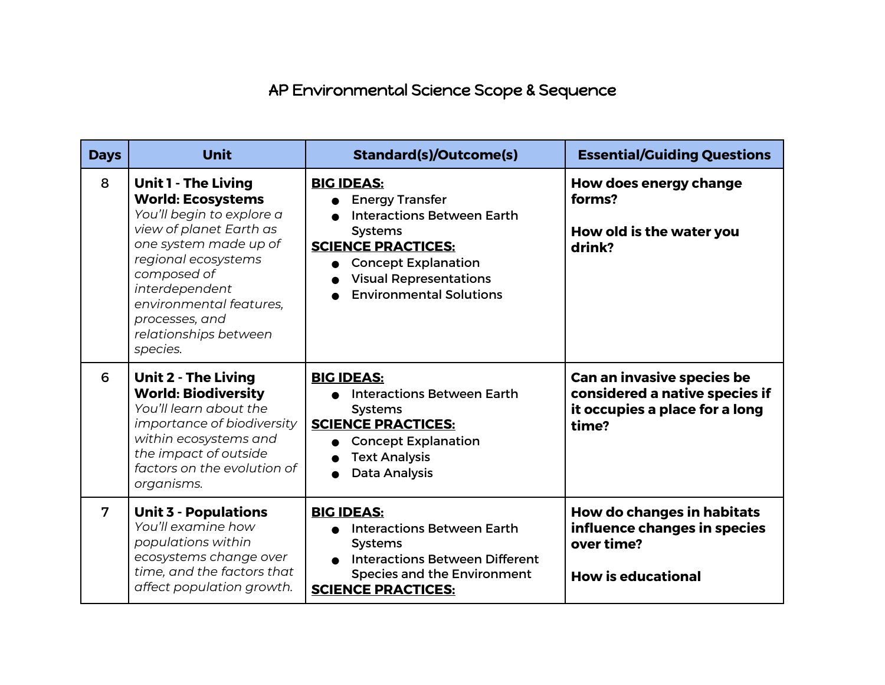## AP Environmental Science Scope & Sequence

| <b>Days</b>    | <b>Unit</b>                                                                                                                                                                                                                                                                       | <b>Standard(s)/Outcome(s)</b>                                                                                                                                                                                                    | <b>Essential/Guiding Questions</b>                                                                      |
|----------------|-----------------------------------------------------------------------------------------------------------------------------------------------------------------------------------------------------------------------------------------------------------------------------------|----------------------------------------------------------------------------------------------------------------------------------------------------------------------------------------------------------------------------------|---------------------------------------------------------------------------------------------------------|
| 8              | <b>Unit 1 - The Living</b><br><b>World: Ecosystems</b><br>You'll begin to explore a<br>view of planet Earth as<br>one system made up of<br>regional ecosystems<br>composed of<br>interdependent<br>environmental features,<br>processes, and<br>relationships between<br>species. | <b>BIG IDEAS:</b><br><b>Energy Transfer</b><br><b>Interactions Between Earth</b><br><b>Systems</b><br><b>SCIENCE PRACTICES:</b><br><b>Concept Explanation</b><br><b>Visual Representations</b><br><b>Environmental Solutions</b> | How does energy change<br>forms?<br>How old is the water you<br>drink?                                  |
| 6              | <b>Unit 2 - The Living</b><br><b>World: Biodiversity</b><br>You'll learn about the<br>importance of biodiversity<br>within ecosystems and<br>the impact of outside<br>factors on the evolution of<br>organisms.                                                                   | <b>BIG IDEAS:</b><br><b>Interactions Between Earth</b><br><b>Systems</b><br><b>SCIENCE PRACTICES:</b><br><b>Concept Explanation</b><br><b>Text Analysis</b><br><b>Data Analysis</b>                                              | Can an invasive species be<br>considered a native species if<br>it occupies a place for a long<br>time? |
| $\overline{7}$ | <b>Unit 3 - Populations</b><br>You'll examine how<br>populations within<br>ecosystems change over<br>time, and the factors that<br>affect population growth.                                                                                                                      | <b>BIG IDEAS:</b><br><b>Interactions Between Earth</b><br><b>Systems</b><br><b>Interactions Between Different</b><br><b>Species and the Environment</b><br><b>SCIENCE PRACTICES:</b>                                             | How do changes in habitats<br>influence changes in species<br>over time?<br><b>How is educational</b>   |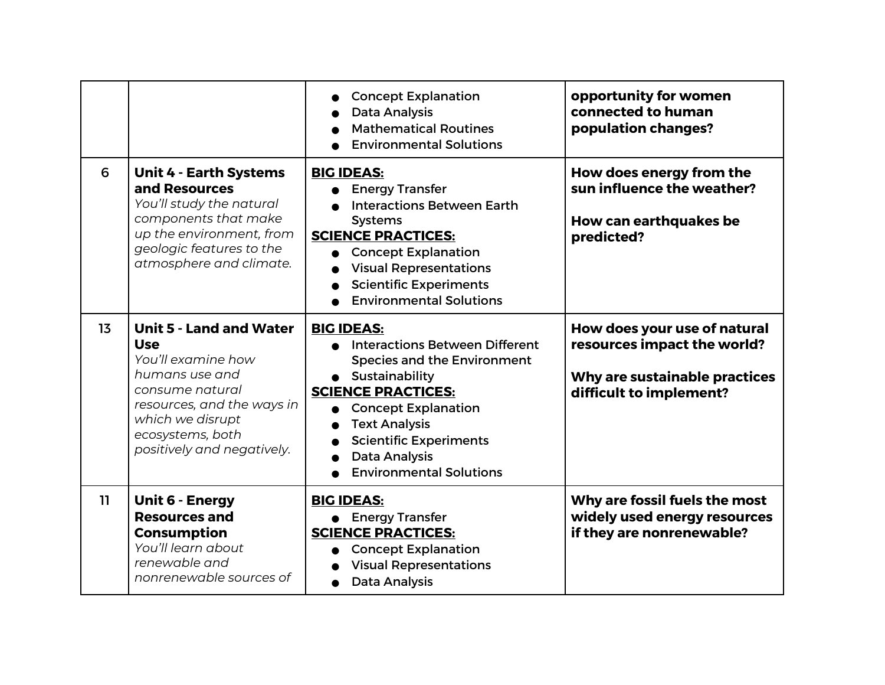|    |                                                                                                                                                                                                             | <b>Concept Explanation</b><br><b>Data Analysis</b><br><b>Mathematical Routines</b><br><b>Environmental Solutions</b>                                                                                                                                                                             | opportunity for women<br>connected to human<br>population changes?                                                      |
|----|-------------------------------------------------------------------------------------------------------------------------------------------------------------------------------------------------------------|--------------------------------------------------------------------------------------------------------------------------------------------------------------------------------------------------------------------------------------------------------------------------------------------------|-------------------------------------------------------------------------------------------------------------------------|
| 6  | <b>Unit 4 - Earth Systems</b><br>and Resources<br>You'll study the natural<br>components that make<br>up the environment, from<br>geologic features to the<br>atmosphere and climate.                       | <b>BIG IDEAS:</b><br><b>Energy Transfer</b><br><b>Interactions Between Earth</b><br><b>Systems</b><br><b>SCIENCE PRACTICES:</b><br><b>Concept Explanation</b><br><b>Visual Representations</b><br><b>Scientific Experiments</b><br><b>Environmental Solutions</b>                                | How does energy from the<br>sun influence the weather?<br>How can earthquakes be<br>predicted?                          |
| 13 | <b>Unit 5 - Land and Water</b><br><b>Use</b><br>You'll examine how<br>humans use and<br>consume natural<br>resources, and the ways in<br>which we disrupt<br>ecosystems, both<br>positively and negatively. | <b>BIG IDEAS:</b><br><b>Interactions Between Different</b><br><b>Species and the Environment</b><br>Sustainability<br><b>SCIENCE PRACTICES:</b><br><b>Concept Explanation</b><br><b>Text Analysis</b><br><b>Scientific Experiments</b><br><b>Data Analysis</b><br><b>Environmental Solutions</b> | How does your use of natural<br>resources impact the world?<br>Why are sustainable practices<br>difficult to implement? |
| 11 | <b>Unit 6 - Energy</b><br><b>Resources and</b><br><b>Consumption</b><br>You'll learn about<br>renewable and<br>nonrenewable sources of                                                                      | <b>BIG IDEAS:</b><br>• Energy Transfer<br><b>SCIENCE PRACTICES:</b><br><b>Concept Explanation</b><br><b>Visual Representations</b><br><b>Data Analysis</b>                                                                                                                                       | Why are fossil fuels the most<br>widely used energy resources<br>if they are nonrenewable?                              |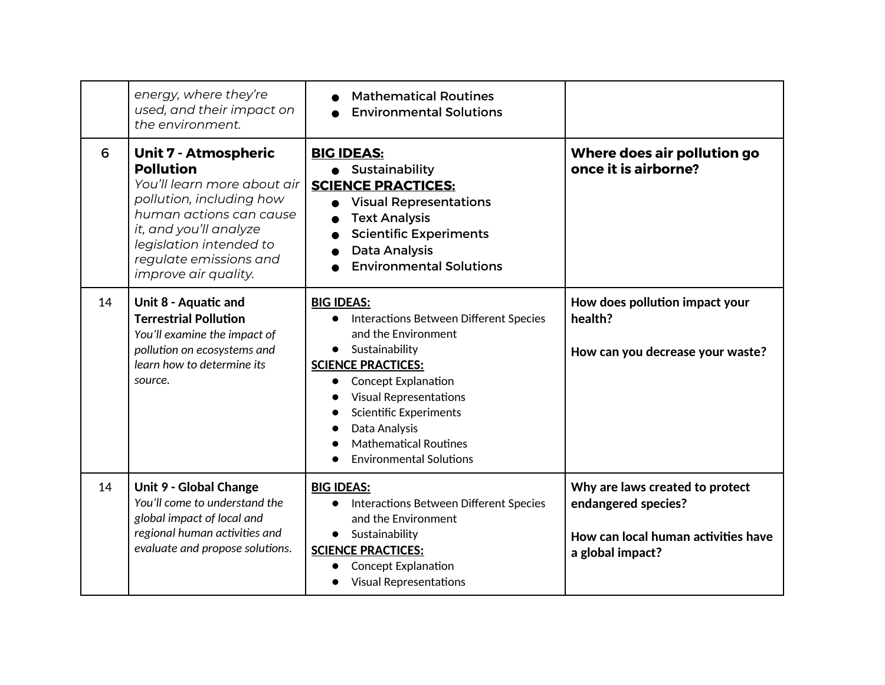|    | energy, where they're<br>used, and their impact on<br>the environment.                                                                                                                                                                              | <b>Mathematical Routines</b><br><b>Environmental Solutions</b>                                                                                                                                                                                                                                                                    |                                                                                                                   |
|----|-----------------------------------------------------------------------------------------------------------------------------------------------------------------------------------------------------------------------------------------------------|-----------------------------------------------------------------------------------------------------------------------------------------------------------------------------------------------------------------------------------------------------------------------------------------------------------------------------------|-------------------------------------------------------------------------------------------------------------------|
| 6  | <b>Unit 7 - Atmospheric</b><br><b>Pollution</b><br>You'll learn more about air<br>pollution, including how<br>human actions can cause<br>it, and you'll analyze<br>legislation intended to<br>regulate emissions and<br><i>improve air quality.</i> | <b>BIG IDEAS:</b><br>Sustainability<br><b>SCIENCE PRACTICES:</b><br><b>Visual Representations</b><br><b>Text Analysis</b><br><b>Scientific Experiments</b><br><b>Data Analysis</b><br><b>Environmental Solutions</b>                                                                                                              | Where does air pollution go<br>once it is airborne?                                                               |
| 14 | Unit 8 - Aquatic and<br><b>Terrestrial Pollution</b><br>You'll examine the impact of<br>pollution on ecosystems and<br>learn how to determine its<br>source.                                                                                        | <b>BIG IDEAS:</b><br>Interactions Between Different Species<br>and the Environment<br>Sustainability<br><b>SCIENCE PRACTICES:</b><br><b>Concept Explanation</b><br>$\bullet$<br><b>Visual Representations</b><br><b>Scientific Experiments</b><br>Data Analysis<br><b>Mathematical Routines</b><br><b>Environmental Solutions</b> | How does pollution impact your<br>health?<br>How can you decrease your waste?                                     |
| 14 | <b>Unit 9 - Global Change</b><br>You'll come to understand the<br>global impact of local and<br>regional human activities and<br>evaluate and propose solutions.                                                                                    | <b>BIG IDEAS:</b><br>Interactions Between Different Species<br>$\bullet$<br>and the Environment<br>Sustainability<br>$\bullet$<br><b>SCIENCE PRACTICES:</b><br><b>Concept Explanation</b><br><b>Visual Representations</b>                                                                                                        | Why are laws created to protect<br>endangered species?<br>How can local human activities have<br>a global impact? |